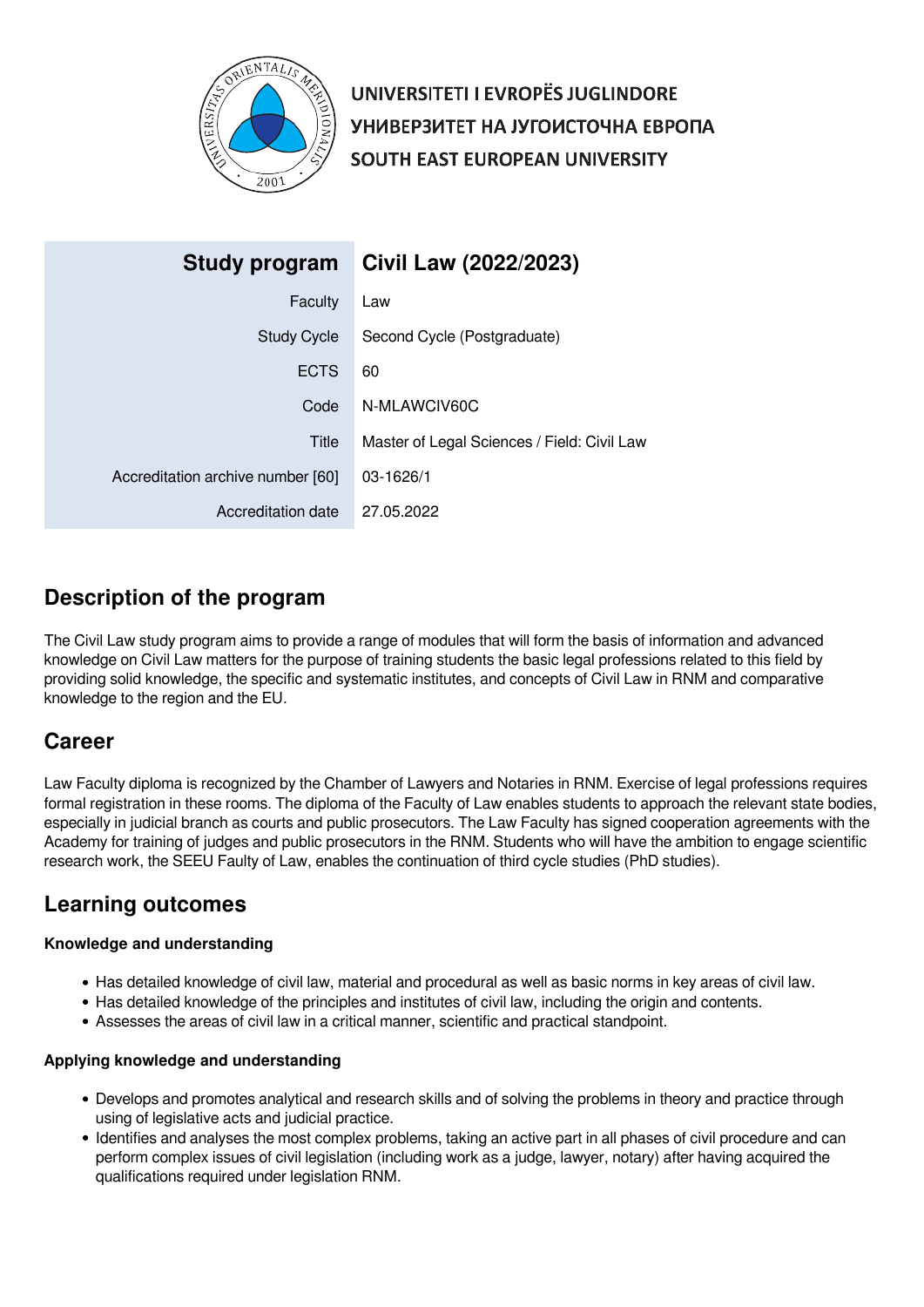

UNIVERSITETI I EVROPËS JUGLINDORE УНИВЕРЗИТЕТ НА ЈУГОИСТОЧНА ЕВРОПА SOUTH EAST EUROPEAN UNIVERSITY

| Study program                     | Civil Law (2022/2023)                       |
|-----------------------------------|---------------------------------------------|
| Faculty                           | Law                                         |
| <b>Study Cycle</b>                | Second Cycle (Postgraduate)                 |
| <b>ECTS</b>                       | 60                                          |
| Code                              | N-MLAWCIV60C                                |
| Title                             | Master of Legal Sciences / Field: Civil Law |
| Accreditation archive number [60] | 03-1626/1                                   |
| Accreditation date                | 27.05.2022                                  |

# **Description of the program**

The Civil Law study program aims to provide a range of modules that will form the basis of information and advanced knowledge on Civil Law matters for the purpose of training students the basic legal professions related to this field by providing solid knowledge, the specific and systematic institutes, and concepts of Civil Law in RNM and comparative knowledge to the region and the EU.

## **Career**

Law Faculty diploma is recognized by the Chamber of Lawyers and Notaries in RNM. Exercise of legal professions requires formal registration in these rooms. The diploma of the Faculty of Law enables students to approach the relevant state bodies, especially in judicial branch as courts and public prosecutors. The Law Faculty has signed cooperation agreements with the Academy for training of judges and public prosecutors in the RNM. Students who will have the ambition to engage scientific research work, the SEEU Faulty of Law, enables the continuation of third cycle studies (PhD studies).

## **Learning outcomes**

## **Knowledge and understanding**

- Has detailed knowledge of civil law, material and procedural as well as basic norms in key areas of civil law.
- Has detailed knowledge of the principles and institutes of civil law, including the origin and contents.
- Assesses the areas of civil law in a critical manner, scientific and practical standpoint.

## **Applying knowledge and understanding**

- Develops and promotes analytical and research skills and of solving the problems in theory and practice through using of legislative acts and judicial practice.
- Identifies and analyses the most complex problems, taking an active part in all phases of civil procedure and can perform complex issues of civil legislation (including work as a judge, lawyer, notary) after having acquired the qualifications required under legislation RNM.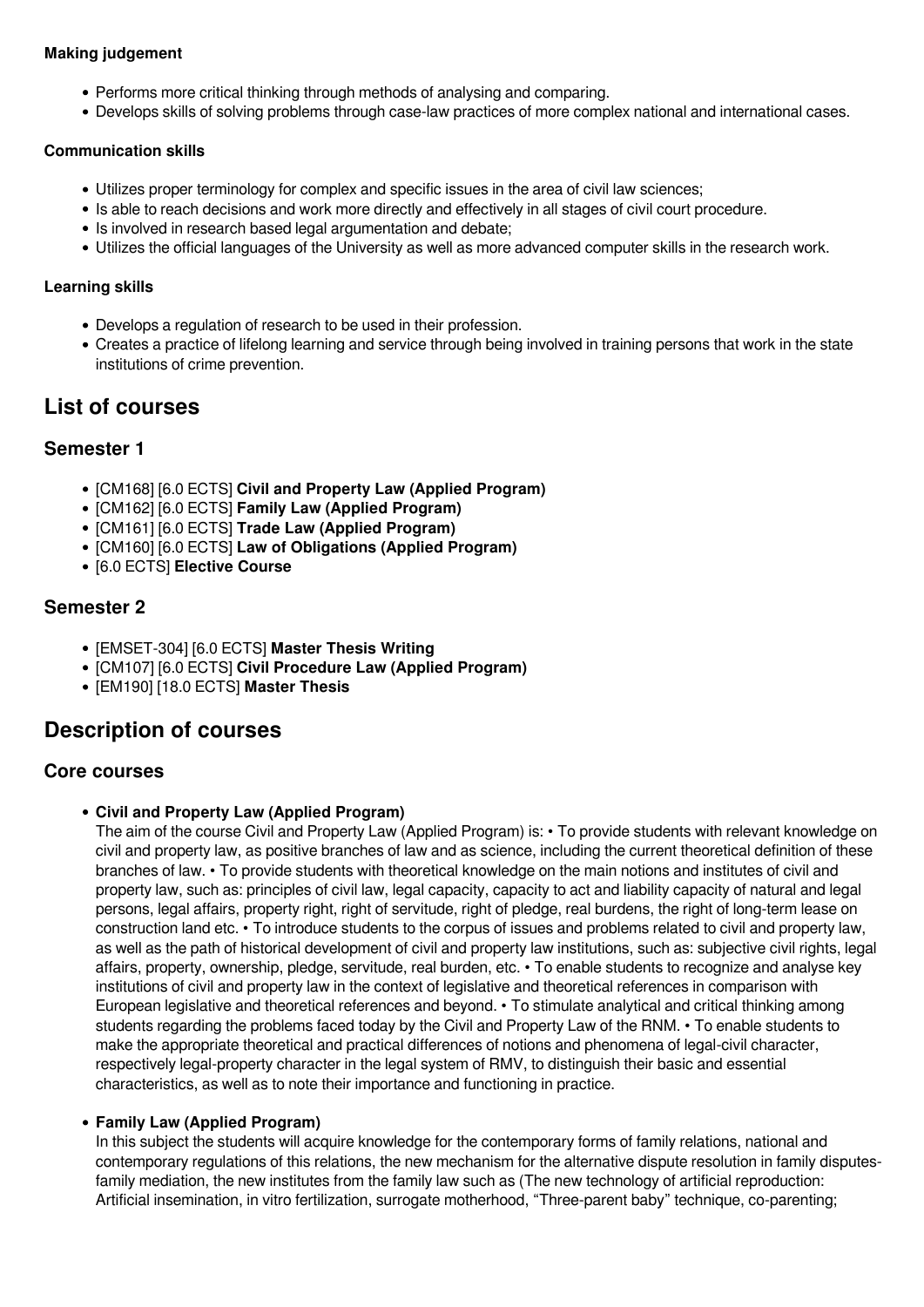## **Making judgement**

- Performs more critical thinking through methods of analysing and comparing.
- Develops skills of solving problems through case-law practices of more complex national and international cases.

## **Communication skills**

- Utilizes proper terminology for complex and specific issues in the area of civil law sciences;
- Is able to reach decisions and work more directly and effectively in all stages of civil court procedure.
- Is involved in research based legal argumentation and debate;
- Utilizes the official languages of the University as well as more advanced computer skills in the research work.

## **Learning skills**

- Develops a regulation of research to be used in their profession.
- Creates a practice of lifelong learning and service through being involved in training persons that work in the state institutions of crime prevention.

## **List of courses**

## **Semester 1**

- [CM168] [6.0 ECTS] **Civil and Property Law (Applied Program)**
- [CM162] [6.0 ECTS] **Family Law (Applied Program)**
- [CM161] [6.0 ECTS] **Trade Law (Applied Program)**
- [CM160] [6.0 ECTS] **Law of Obligations (Applied Program)**
- [6.0 ECTS] **Elective Course**

## **Semester 2**

- [EMSET-304] [6.0 ECTS] **Master Thesis Writing**
- [CM107] [6.0 ECTS] **Civil Procedure Law (Applied Program)**
- [EM190] [18.0 ECTS] **Master Thesis**

## **Description of courses**

## **Core courses**

## **Civil and Property Law (Applied Program)**

The aim of the course Civil and Property Law (Applied Program) is: • To provide students with relevant knowledge on civil and property law, as positive branches of law and as science, including the current theoretical definition of these branches of law. • To provide students with theoretical knowledge on the main notions and institutes of civil and property law, such as: principles of civil law, legal capacity, capacity to act and liability capacity of natural and legal persons, legal affairs, property right, right of servitude, right of pledge, real burdens, the right of long-term lease on construction land etc. • To introduce students to the corpus of issues and problems related to civil and property law, as well as the path of historical development of civil and property law institutions, such as: subjective civil rights, legal affairs, property, ownership, pledge, servitude, real burden, etc. • To enable students to recognize and analyse key institutions of civil and property law in the context of legislative and theoretical references in comparison with European legislative and theoretical references and beyond. • To stimulate analytical and critical thinking among students regarding the problems faced today by the Civil and Property Law of the RNM. • To enable students to make the appropriate theoretical and practical differences of notions and phenomena of legal-civil character, respectively legal-property character in the legal system of RMV, to distinguish their basic and essential characteristics, as well as to note their importance and functioning in practice.

### **Family Law (Applied Program)**

In this subject the students will acquire knowledge for the contemporary forms of family relations, national and contemporary regulations of this relations, the new mechanism for the alternative dispute resolution in family disputesfamily mediation, the new institutes from the family law such as (The new technology of artificial reproduction: Artificial insemination, in vitro fertilization, surrogate motherhood, "Three-parent baby" technique, co-parenting;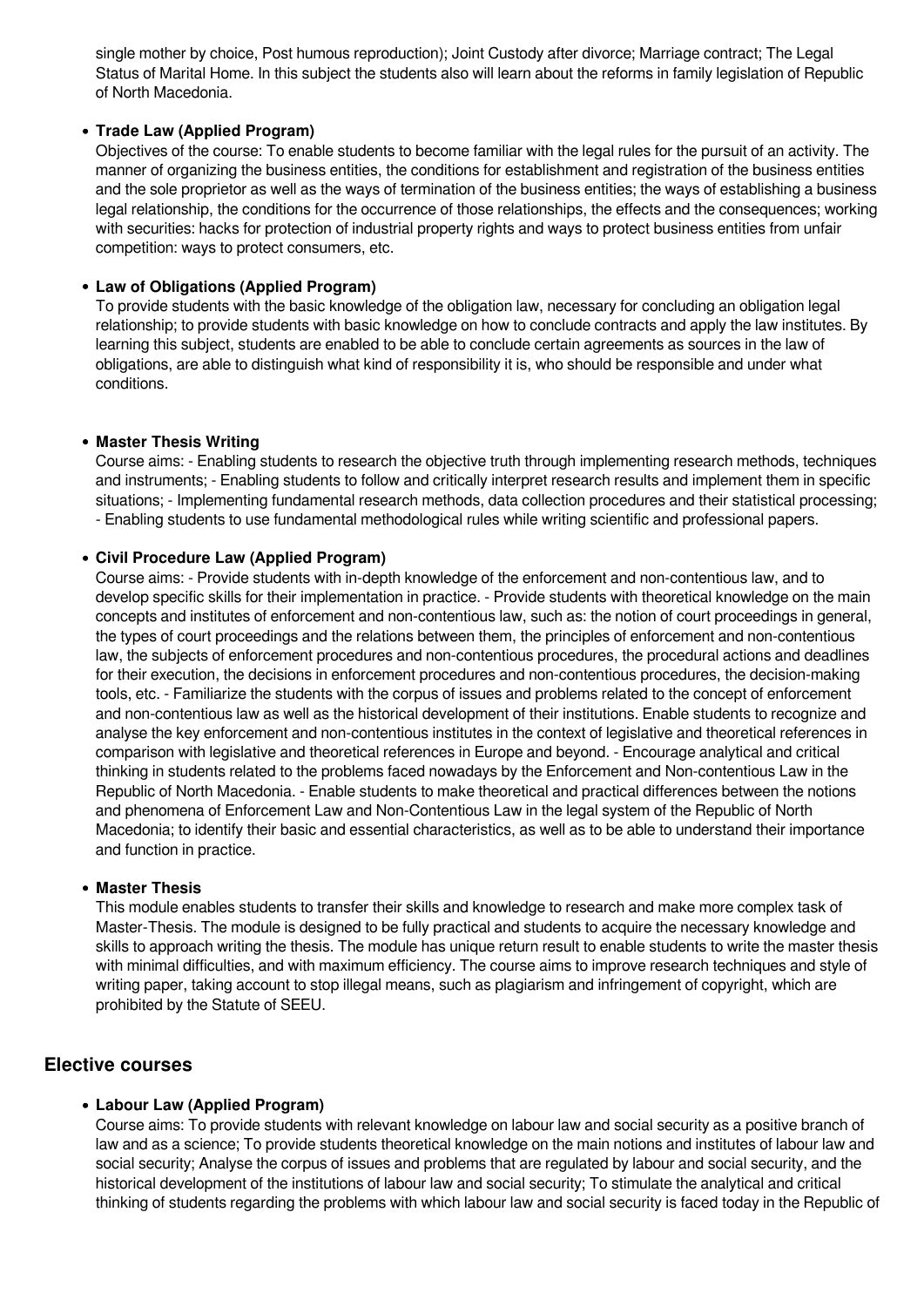single mother by choice, Post humous reproduction); Joint Custody after divorce; Marriage contract; The Legal Status of Marital Home. In this subject the students also will learn about the reforms in family legislation of Republic of North Macedonia.

## **Trade Law (Applied Program)**

Objectives of the course: To enable students to become familiar with the legal rules for the pursuit of an activity. The manner of organizing the business entities, the conditions for establishment and registration of the business entities and the sole proprietor as well as the ways of termination of the business entities; the ways of establishing a business legal relationship, the conditions for the occurrence of those relationships, the effects and the consequences; working with securities: hacks for protection of industrial property rights and ways to protect business entities from unfair competition: ways to protect consumers, etc.

## **Law of Obligations (Applied Program)**

To provide students with the basic knowledge of the obligation law, necessary for concluding an obligation legal relationship; to provide students with basic knowledge on how to conclude contracts and apply the law institutes. By learning this subject, students are enabled to be able to conclude certain agreements as sources in the law of obligations, are able to distinguish what kind of responsibility it is, who should be responsible and under what conditions.

### **Master Thesis Writing**

Course aims: - Enabling students to research the objective truth through implementing research methods, techniques and instruments; - Enabling students to follow and critically interpret research results and implement them in specific situations; - Implementing fundamental research methods, data collection procedures and their statistical processing; - Enabling students to use fundamental methodological rules while writing scientific and professional papers.

## **Civil Procedure Law (Applied Program)**

Course aims: - Provide students with in-depth knowledge of the enforcement and non-contentious law, and to develop specific skills for their implementation in practice. - Provide students with theoretical knowledge on the main concepts and institutes of enforcement and non-contentious law, such as: the notion of court proceedings in general, the types of court proceedings and the relations between them, the principles of enforcement and non-contentious law, the subjects of enforcement procedures and non-contentious procedures, the procedural actions and deadlines for their execution, the decisions in enforcement procedures and non-contentious procedures, the decision-making tools, etc. - Familiarize the students with the corpus of issues and problems related to the concept of enforcement and non-contentious law as well as the historical development of their institutions. Enable students to recognize and analyse the key enforcement and non-contentious institutes in the context of legislative and theoretical references in comparison with legislative and theoretical references in Europe and beyond. - Encourage analytical and critical thinking in students related to the problems faced nowadays by the Enforcement and Non-contentious Law in the Republic of North Macedonia. - Enable students to make theoretical and practical differences between the notions and phenomena of Enforcement Law and Non-Contentious Law in the legal system of the Republic of North Macedonia; to identify their basic and essential characteristics, as well as to be able to understand their importance and function in practice.

### **Master Thesis**

This module enables students to transfer their skills and knowledge to research and make more complex task of Master-Thesis. The module is designed to be fully practical and students to acquire the necessary knowledge and skills to approach writing the thesis. The module has unique return result to enable students to write the master thesis with minimal difficulties, and with maximum efficiency. The course aims to improve research techniques and style of writing paper, taking account to stop illegal means, such as plagiarism and infringement of copyright, which are prohibited by the Statute of SEEU.

## **Elective courses**

## **Labour Law (Applied Program)**

Course aims: To provide students with relevant knowledge on labour law and social security as a positive branch of law and as a science; To provide students theoretical knowledge on the main notions and institutes of labour law and social security; Analyse the corpus of issues and problems that are regulated by labour and social security, and the historical development of the institutions of labour law and social security; To stimulate the analytical and critical thinking of students regarding the problems with which labour law and social security is faced today in the Republic of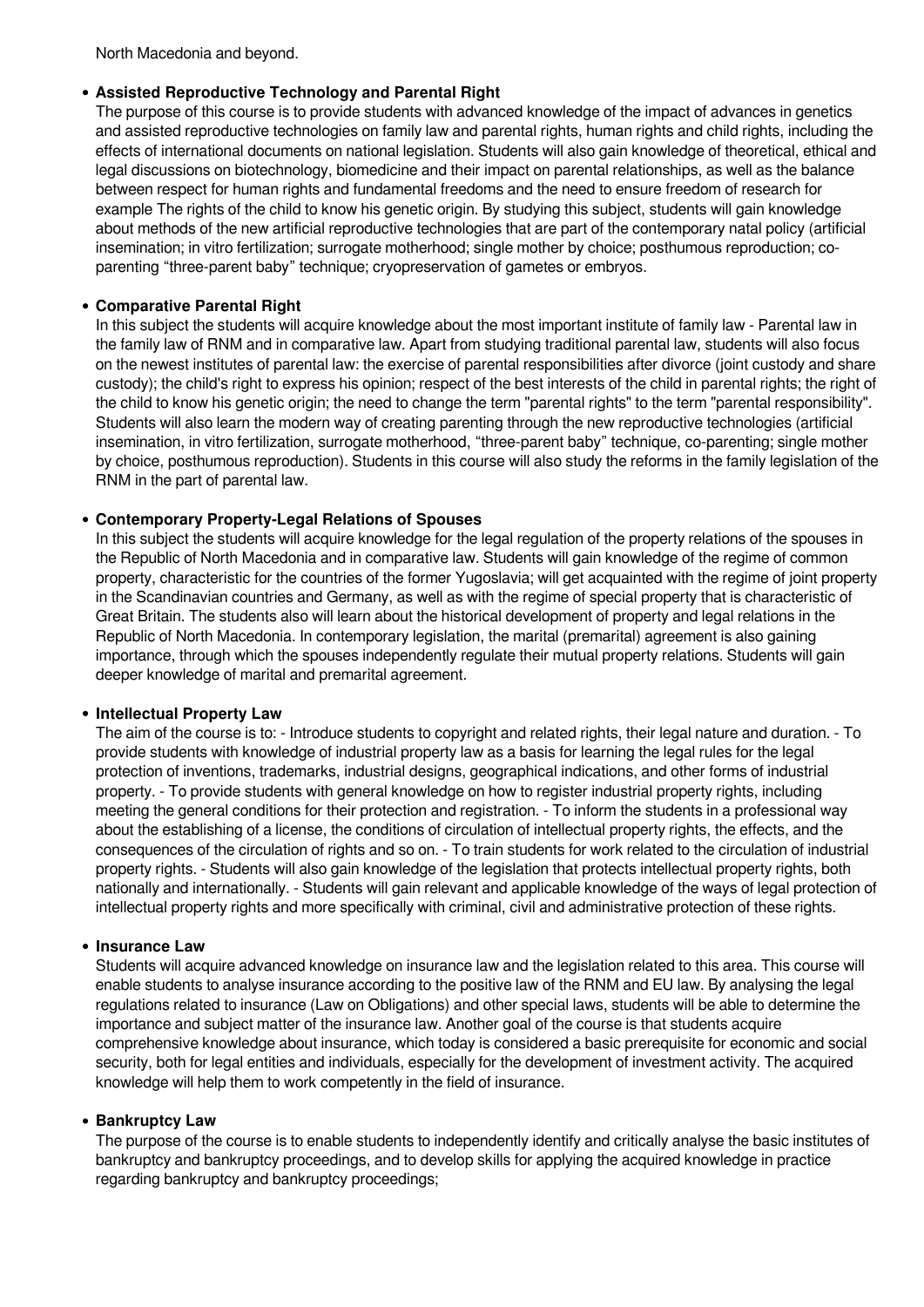North Macedonia and beyond.

#### **Assisted Reproductive Technology and Parental Right**

The purpose of this course is to provide students with advanced knowledge of the impact of advances in genetics and assisted reproductive technologies on family law and parental rights, human rights and child rights, including the effects of international documents on national legislation. Students will also gain knowledge of theoretical, ethical and legal discussions on biotechnology, biomedicine and their impact on parental relationships, as well as the balance between respect for human rights and fundamental freedoms and the need to ensure freedom of research for example The rights of the child to know his genetic origin. By studying this subject, students will gain knowledge about methods of the new artificial reproductive technologies that are part of the contemporary natal policy (artificial insemination; in vitro fertilization; surrogate motherhood; single mother by choice; posthumous reproduction; coparenting "three-parent baby" technique; cryopreservation of gametes or embryos.

#### **Comparative Parental Right**

In this subject the students will acquire knowledge about the most important institute of family law - Parental law in the family law of RNM and in comparative law. Apart from studying traditional parental law, students will also focus on the newest institutes of parental law: the exercise of parental responsibilities after divorce (joint custody and share custody); the child's right to express his opinion; respect of the best interests of the child in parental rights; the right of the child to know his genetic origin; the need to change the term "parental rights" to the term "parental responsibility". Students will also learn the modern way of creating parenting through the new reproductive technologies (artificial insemination, in vitro fertilization, surrogate motherhood, "three-parent baby" technique, co-parenting; single mother by choice, posthumous reproduction). Students in this course will also study the reforms in the family legislation of the RNM in the part of parental law.

### **Contemporary Property-Legal Relations of Spouses**

In this subject the students will acquire knowledge for the legal regulation of the property relations of the spouses in the Republic of North Macedonia and in comparative law. Students will gain knowledge of the regime of common property, characteristic for the countries of the former Yugoslavia; will get acquainted with the regime of joint property in the Scandinavian countries and Germany, as well as with the regime of special property that is characteristic of Great Britain. The students also will learn about the historical development of property and legal relations in the Republic of North Macedonia. In contemporary legislation, the marital (premarital) agreement is also gaining importance, through which the spouses independently regulate their mutual property relations. Students will gain deeper knowledge of marital and premarital agreement.

### **Intellectual Property Law**

The aim of the course is to: - Introduce students to copyright and related rights, their legal nature and duration. - To provide students with knowledge of industrial property law as a basis for learning the legal rules for the legal protection of inventions, trademarks, industrial designs, geographical indications, and other forms of industrial property. - To provide students with general knowledge on how to register industrial property rights, including meeting the general conditions for their protection and registration. - To inform the students in a professional way about the establishing of a license, the conditions of circulation of intellectual property rights, the effects, and the consequences of the circulation of rights and so on. - To train students for work related to the circulation of industrial property rights. - Students will also gain knowledge of the legislation that protects intellectual property rights, both nationally and internationally. - Students will gain relevant and applicable knowledge of the ways of legal protection of intellectual property rights and more specifically with criminal, civil and administrative protection of these rights.

#### **Insurance Law**

Students will acquire advanced knowledge on insurance law and the legislation related to this area. This course will enable students to analyse insurance according to the positive law of the RNM and EU law. By analysing the legal regulations related to insurance (Law on Obligations) and other special laws, students will be able to determine the importance and subject matter of the insurance law. Another goal of the course is that students acquire comprehensive knowledge about insurance, which today is considered a basic prerequisite for economic and social security, both for legal entities and individuals, especially for the development of investment activity. The acquired knowledge will help them to work competently in the field of insurance.

#### **• Bankruptcy Law**

The purpose of the course is to enable students to independently identify and critically analyse the basic institutes of bankruptcy and bankruptcy proceedings, and to develop skills for applying the acquired knowledge in practice regarding bankruptcy and bankruptcy proceedings;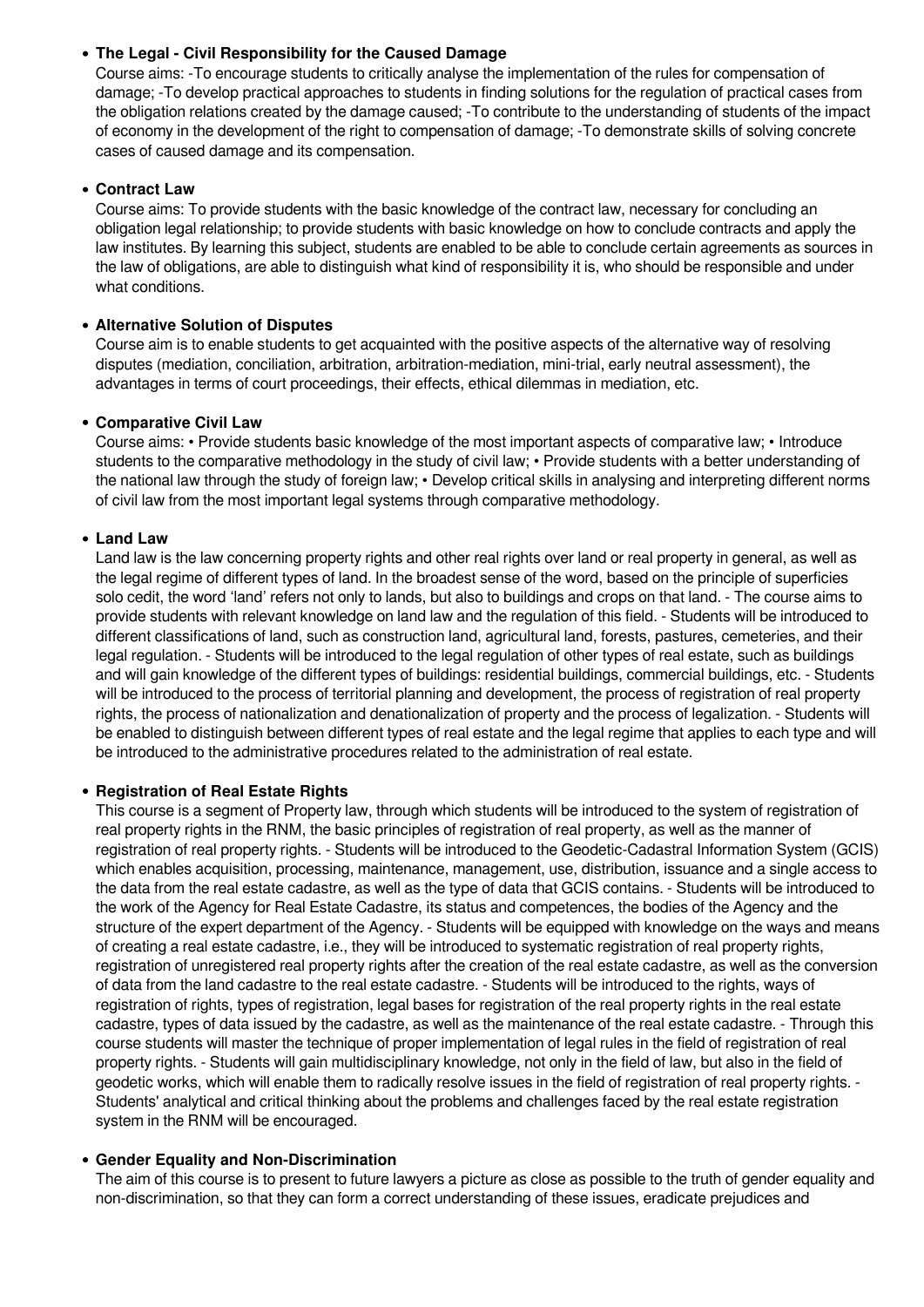## **The Legal - Civil Responsibility for the Caused Damage**

Course aims: -To encourage students to critically analyse the implementation of the rules for compensation of damage; -To develop practical approaches to students in finding solutions for the regulation of practical cases from the obligation relations created by the damage caused; -To contribute to the understanding of students of the impact of economy in the development of the right to compensation of damage; -To demonstrate skills of solving concrete cases of caused damage and its compensation.

## **Contract Law**

Course aims: To provide students with the basic knowledge of the contract law, necessary for concluding an obligation legal relationship; to provide students with basic knowledge on how to conclude contracts and apply the law institutes. By learning this subject, students are enabled to be able to conclude certain agreements as sources in the law of obligations, are able to distinguish what kind of responsibility it is, who should be responsible and under what conditions.

## **Alternative Solution of Disputes**

Course aim is to enable students to get acquainted with the positive aspects of the alternative way of resolving disputes (mediation, conciliation, arbitration, arbitration-mediation, mini-trial, early neutral assessment), the advantages in terms of court proceedings, their effects, ethical dilemmas in mediation, etc.

## **Comparative Civil Law**

Course aims: • Provide students basic knowledge of the most important aspects of comparative law; • Introduce students to the comparative methodology in the study of civil law; • Provide students with a better understanding of the national law through the study of foreign law; • Develop critical skills in analysing and interpreting different norms of civil law from the most important legal systems through comparative methodology.

## **Land Law**

Land law is the law concerning property rights and other real rights over land or real property in general, as well as the legal regime of different types of land. In the broadest sense of the word, based on the principle of superficies solo cedit, the word 'land' refers not only to lands, but also to buildings and crops on that land. - The course aims to provide students with relevant knowledge on land law and the regulation of this field. - Students will be introduced to different classifications of land, such as construction land, agricultural land, forests, pastures, cemeteries, and their legal regulation. - Students will be introduced to the legal regulation of other types of real estate, such as buildings and will gain knowledge of the different types of buildings: residential buildings, commercial buildings, etc. - Students will be introduced to the process of territorial planning and development, the process of registration of real property rights, the process of nationalization and denationalization of property and the process of legalization. - Students will be enabled to distinguish between different types of real estate and the legal regime that applies to each type and will be introduced to the administrative procedures related to the administration of real estate.

### **Registration of Real Estate Rights**

This course is a segment of Property law, through which students will be introduced to the system of registration of real property rights in the RNM, the basic principles of registration of real property, as well as the manner of registration of real property rights. - Students will be introduced to the Geodetic-Cadastral Information System (GCIS) which enables acquisition, processing, maintenance, management, use, distribution, issuance and a single access to the data from the real estate cadastre, as well as the type of data that GCIS contains. - Students will be introduced to the work of the Agency for Real Estate Cadastre, its status and competences, the bodies of the Agency and the structure of the expert department of the Agency. - Students will be equipped with knowledge on the ways and means of creating a real estate cadastre, i.e., they will be introduced to systematic registration of real property rights, registration of unregistered real property rights after the creation of the real estate cadastre, as well as the conversion of data from the land cadastre to the real estate cadastre. - Students will be introduced to the rights, ways of registration of rights, types of registration, legal bases for registration of the real property rights in the real estate cadastre, types of data issued by the cadastre, as well as the maintenance of the real estate cadastre. - Through this course students will master the technique of proper implementation of legal rules in the field of registration of real property rights. - Students will gain multidisciplinary knowledge, not only in the field of law, but also in the field of geodetic works, which will enable them to radically resolve issues in the field of registration of real property rights. - Students' analytical and critical thinking about the problems and challenges faced by the real estate registration system in the RNM will be encouraged.

### **Gender Equality and Non-Discrimination**

The aim of this course is to present to future lawyers a picture as close as possible to the truth of gender equality and non-discrimination, so that they can form a correct understanding of these issues, eradicate prejudices and